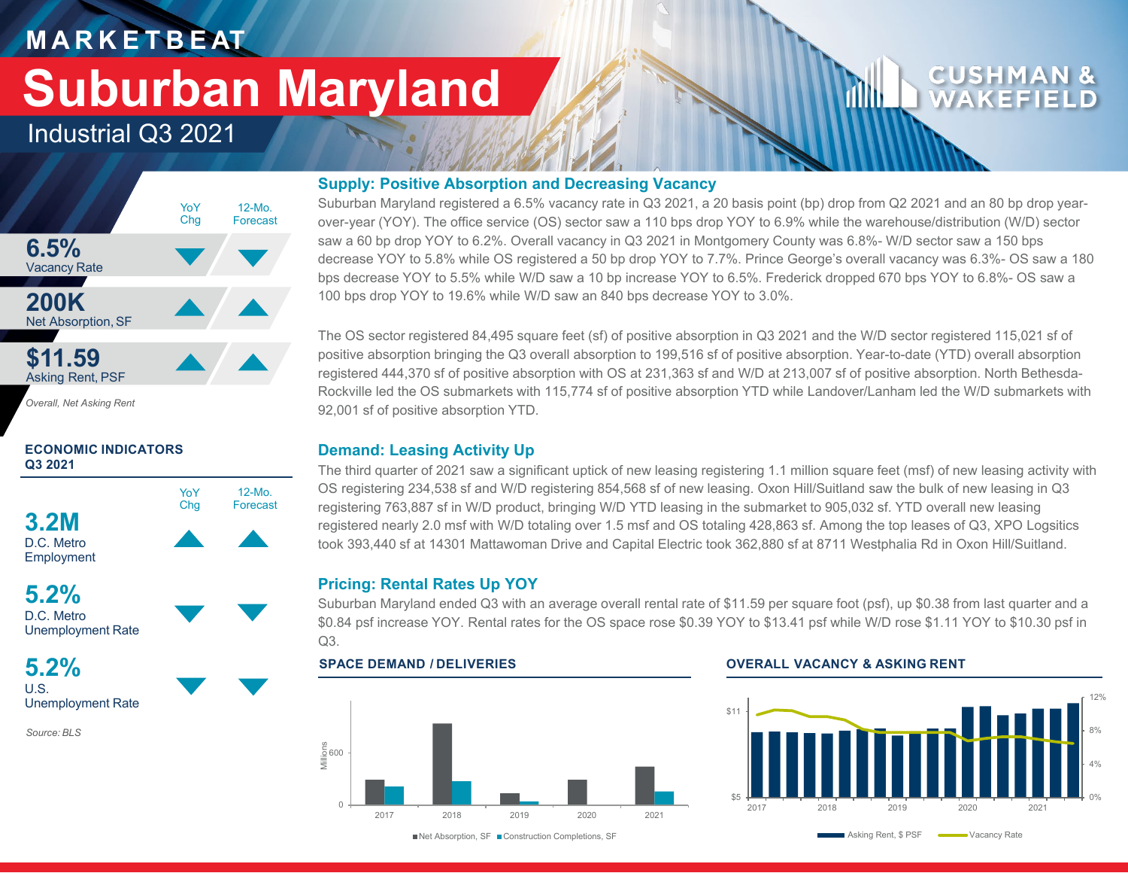## **M A R K E T B E AT**

# **Suburban Maryland**

### Industrial Q3 2021



*Overall, Net Asking Rent*

### **ECONOMIC INDICATORS Q3 2021**



**5.2%** D.C. Metro Unemployment Rate

**5.2%** U.S. Unemployment Rate

*Source: BLS*

### **Supply: Positive Absorption and Decreasing Vacancy**

Suburban Maryland registered a 6.5% vacancy rate in Q3 2021, a 20 basis point (bp) drop from Q2 2021 and an 80 bp drop yearover-year (YOY). The office service (OS) sector saw a 110 bps drop YOY to 6.9% while the warehouse/distribution (W/D) sector saw a 60 bp drop YOY to 6.2%. Overall vacancy in Q3 2021 in Montgomery County was 6.8%- W/D sector saw a 150 bps decrease YOY to 5.8% while OS registered a 50 bp drop YOY to 7.7%. Prince George's overall vacancy was 6.3%- OS saw a 180 bps decrease YOY to 5.5% while W/D saw a 10 bp increase YOY to 6.5%. Frederick dropped 670 bps YOY to 6.8%- OS saw a 100 bps drop YOY to 19.6% while W/D saw an 840 bps decrease YOY to 3.0%.

The OS sector registered 84,495 square feet (sf) of positive absorption in Q3 2021 and the W/D sector registered 115,021 sf of positive absorption bringing the Q3 overall absorption to 199,516 sf of positive absorption. Year-to-date (YTD) overall absorption registered 444,370 sf of positive absorption with OS at 231,363 sf and W/D at 213,007 sf of positive absorption. North Bethesda-Rockville led the OS submarkets with 115,774 sf of positive absorption YTD while Landover/Lanham led the W/D submarkets with 92,001 sf of positive absorption YTD.

### **Demand: Leasing Activity Up**

The third quarter of 2021 saw a significant uptick of new leasing registering 1.1 million square feet (msf) of new leasing activity with OS registering 234,538 sf and W/D registering 854,568 sf of new leasing. Oxon Hill/Suitland saw the bulk of new leasing in Q3 registering 763,887 sf in W/D product, bringing W/D YTD leasing in the submarket to 905,032 sf. YTD overall new leasing registered nearly 2.0 msf with W/D totaling over 1.5 msf and OS totaling 428,863 sf. Among the top leases of Q3, XPO Logsitics took 393,440 sf at 14301 Mattawoman Drive and Capital Electric took 362,880 sf at 8711 Westphalia Rd in Oxon Hill/Suitland.

### **Pricing: Rental Rates Up YOY**

Suburban Maryland ended Q3 with an average overall rental rate of \$11.59 per square foot (psf), up \$0.38 from last quarter and a \$0.84 psf increase YOY. Rental rates for the OS space rose \$0.39 YOY to \$13.41 psf while W/D rose \$1.11 YOY to \$10.30 psf in Q3.



### **SPACE DEMAND / DELIVERIES OVERALL VACANCY & ASKING RENT**



■Net Absorption, SF ■ Construction Completions, SF